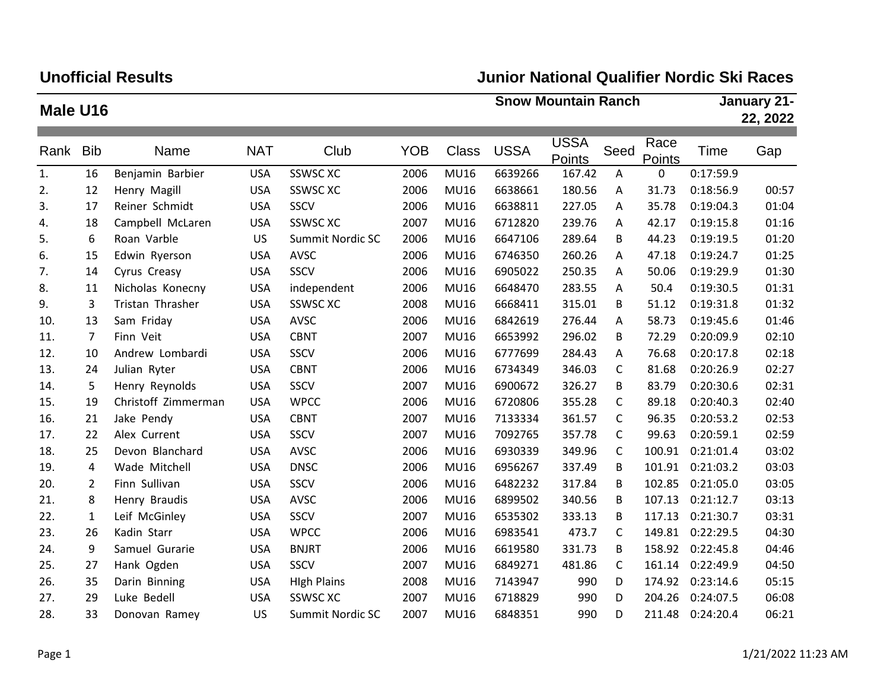## **Unofficial Results**

## **Junior National Qualifier Nordic Ski Races**

| Male U16 |                |                     |            |                    |            | <b>Snow Mountain Ranch</b> |             |                       |      |                       | January 21-<br>22, 2022 |       |
|----------|----------------|---------------------|------------|--------------------|------------|----------------------------|-------------|-----------------------|------|-----------------------|-------------------------|-------|
|          |                |                     |            |                    |            |                            |             |                       |      |                       |                         |       |
| Rank     | <b>Bib</b>     | Name                | <b>NAT</b> | Club               | <b>YOB</b> | <b>Class</b>               | <b>USSA</b> | <b>USSA</b><br>Points | Seed | Race<br><b>Points</b> | Time                    | Gap   |
| 1.       | 16             | Benjamin Barbier    | <b>USA</b> | <b>SSWSC XC</b>    | 2006       | <b>MU16</b>                | 6639266     | 167.42                | Α    | 0                     | 0:17:59.9               |       |
| 2.       | 12             | Henry Magill        | <b>USA</b> | <b>SSWSC XC</b>    | 2006       | <b>MU16</b>                | 6638661     | 180.56                | Α    | 31.73                 | 0:18:56.9               | 00:57 |
| 3.       | 17             | Reiner Schmidt      | <b>USA</b> | SSCV               | 2006       | <b>MU16</b>                | 6638811     | 227.05                | Α    | 35.78                 | 0:19:04.3               | 01:04 |
| 4.       | 18             | Campbell McLaren    | <b>USA</b> | <b>SSWSC XC</b>    | 2007       | <b>MU16</b>                | 6712820     | 239.76                | A    | 42.17                 | 0:19:15.8               | 01:16 |
| 5.       | 6              | Roan Varble         | US         | Summit Nordic SC   | 2006       | <b>MU16</b>                | 6647106     | 289.64                | В    | 44.23                 | 0:19:19.5               | 01:20 |
| 6.       | 15             | Edwin Ryerson       | <b>USA</b> | AVSC               | 2006       | <b>MU16</b>                | 6746350     | 260.26                | A    | 47.18                 | 0:19:24.7               | 01:25 |
| 7.       | 14             | Cyrus Creasy        | <b>USA</b> | SSCV               | 2006       | <b>MU16</b>                | 6905022     | 250.35                | Α    | 50.06                 | 0:19:29.9               | 01:30 |
| 8.       | 11             | Nicholas Konecny    | <b>USA</b> | independent        | 2006       | <b>MU16</b>                | 6648470     | 283.55                | A    | 50.4                  | 0:19:30.5               | 01:31 |
| 9.       | 3              | Tristan Thrasher    | <b>USA</b> | <b>SSWSC XC</b>    | 2008       | <b>MU16</b>                | 6668411     | 315.01                | В    | 51.12                 | 0:19:31.8               | 01:32 |
| 10.      | 13             | Sam Friday          | <b>USA</b> | AVSC               | 2006       | <b>MU16</b>                | 6842619     | 276.44                | Α    | 58.73                 | 0:19:45.6               | 01:46 |
| 11.      | $\overline{7}$ | Finn Veit           | <b>USA</b> | <b>CBNT</b>        | 2007       | <b>MU16</b>                | 6653992     | 296.02                | В    | 72.29                 | 0:20:09.9               | 02:10 |
| 12.      | 10             | Andrew Lombardi     | <b>USA</b> | SSCV               | 2006       | <b>MU16</b>                | 6777699     | 284.43                | A    | 76.68                 | 0:20:17.8               | 02:18 |
| 13.      | 24             | Julian Ryter        | <b>USA</b> | <b>CBNT</b>        | 2006       | <b>MU16</b>                | 6734349     | 346.03                | C    | 81.68                 | 0:20:26.9               | 02:27 |
| 14.      | 5              | Henry Reynolds      | <b>USA</b> | SSCV               | 2007       | <b>MU16</b>                | 6900672     | 326.27                | В    | 83.79                 | 0:20:30.6               | 02:31 |
| 15.      | 19             | Christoff Zimmerman | <b>USA</b> | <b>WPCC</b>        | 2006       | <b>MU16</b>                | 6720806     | 355.28                | C    | 89.18                 | 0:20:40.3               | 02:40 |
| 16.      | 21             | Jake Pendy          | <b>USA</b> | <b>CBNT</b>        | 2007       | <b>MU16</b>                | 7133334     | 361.57                | C    | 96.35                 | 0:20:53.2               | 02:53 |
| 17.      | 22             | Alex Current        | <b>USA</b> | SSCV               | 2007       | <b>MU16</b>                | 7092765     | 357.78                | C    | 99.63                 | 0:20:59.1               | 02:59 |
| 18.      | 25             | Devon Blanchard     | <b>USA</b> | AVSC               | 2006       | <b>MU16</b>                | 6930339     | 349.96                | C    | 100.91                | 0:21:01.4               | 03:02 |
| 19.      | 4              | Wade Mitchell       | <b>USA</b> | <b>DNSC</b>        | 2006       | <b>MU16</b>                | 6956267     | 337.49                | В    | 101.91                | 0:21:03.2               | 03:03 |
| 20.      | $\overline{2}$ | Finn Sullivan       | <b>USA</b> | SSCV               | 2006       | <b>MU16</b>                | 6482232     | 317.84                | В    | 102.85                | 0:21:05.0               | 03:05 |
| 21.      | 8              | Henry Braudis       | <b>USA</b> | AVSC               | 2006       | <b>MU16</b>                | 6899502     | 340.56                | B    | 107.13                | 0:21:12.7               | 03:13 |
| 22.      | $\mathbf{1}$   | Leif McGinley       | <b>USA</b> | SSCV               | 2007       | <b>MU16</b>                | 6535302     | 333.13                | В    | 117.13                | 0:21:30.7               | 03:31 |
| 23.      | 26             | Kadin Starr         | <b>USA</b> | <b>WPCC</b>        | 2006       | <b>MU16</b>                | 6983541     | 473.7                 | C    | 149.81                | 0:22:29.5               | 04:30 |
| 24.      | 9              | Samuel Gurarie      | <b>USA</b> | <b>BNJRT</b>       | 2006       | <b>MU16</b>                | 6619580     | 331.73                | В    | 158.92                | 0:22:45.8               | 04:46 |
| 25.      | 27             | Hank Ogden          | <b>USA</b> | SSCV               | 2007       | <b>MU16</b>                | 6849271     | 481.86                | C    | 161.14                | 0:22:49.9               | 04:50 |
| 26.      | 35             | Darin Binning       | <b>USA</b> | <b>High Plains</b> | 2008       | <b>MU16</b>                | 7143947     | 990                   | D    |                       | 174.92 0:23:14.6        | 05:15 |
| 27.      | 29             | Luke Bedell         | <b>USA</b> | <b>SSWSC XC</b>    | 2007       | <b>MU16</b>                | 6718829     | 990                   | D    | 204.26                | 0:24:07.5               | 06:08 |
| 28.      | 33             | Donovan Ramey       | US         | Summit Nordic SC   | 2007       | <b>MU16</b>                | 6848351     | 990                   | D    | 211.48                | 0:24:20.4               | 06:21 |